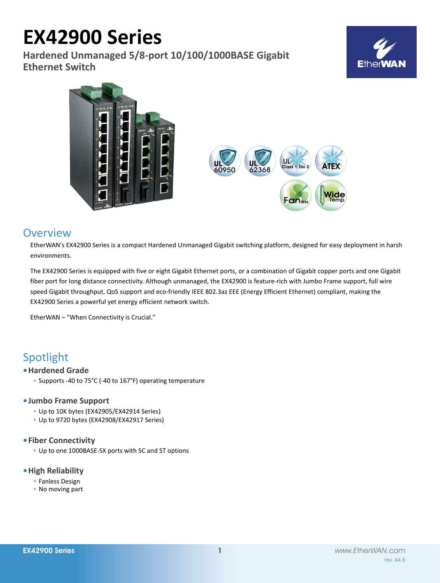# **EX42900 Series**

**Hardened Unmanaged 5/8-port 10/100/1000BASE Gigabit Ethernet Switch**





# **Overview**

EtherWAN's EX42900 Series is a compact Hardened Unmanaged Gigabit switching platform, designed for easy deployment in harsh environments.

The EX42900 Series is equipped with five or eight Gigabit Ethernet ports, or a combination of Gigabit copper ports and one Gigabit fiber port for long distance connectivity. Although unmanaged, the EX42900 is feature-rich with Jumbo Frame support, full wire speed Gigabit throughput, QoS support and eco-friendly IEEE 802.3az EEE (Energy Efficient Ethernet) compliant, making the EX42900 Series a powerful yet energy efficient network switch.

EtherWAN – "When Connectivity is Crucial."

# Spotlight

# **• Hardened Grade**

◦ Supports -40 to 75°C (-40 to 167°F) operating temperature

# **• Jumbo Frame Support**

- Up to 10K bytes (EX42905/EX42914 Series)
- Up to 9720 bytes (EX42908/EX42917 Series)

# **• Fiber Connectivity**

◦ Up to one 1000BASE-SX ports with SC and ST options

# **• High Reliability**

- Fanless Design
- No moving part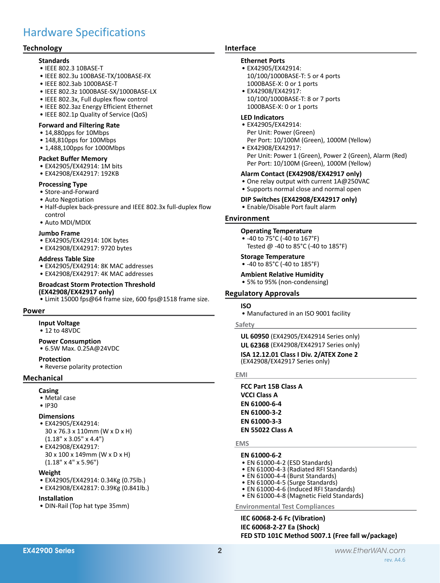# Hardware Specifications

# **Technology**

# **Standards**

- • IEEE 802.3 10BASE-T
- • IEEE 802.3u 100BASE-TX/100BASE-FX
- • IEEE 802.3ab 1000BASE-T
- • IEEE 802.3z 1000BASE-SX/1000BASE-LX
- • IEEE 802.3x, Full duplex flow control
- • IEEE 802.3az Energy Efficient Ethernet
- IEEE 802.1p Quality of Service (QoS)

# **Forward and Filtering Rate**

- 14,880pps for 10Mbps
- 148,810pps for 100Mbps
- 1,488,100pps for 1000Mbps

#### **Packet Buffer Memory**

- EX42905/EX42914: 1M bits
- • EX42908/EX42917: 192KB

#### **Processing Type**

- • Store-and-Forward
- • Auto Negotiation
- Half-duplex back-pressure and IEEE 802.3x full-duplex flow control
- • Auto MDI/MDIX

# **Jumbo Frame**

- • EX42905/EX42914: 10K bytes
- • EX42908/EX42917: 9720 bytes

#### **Address Table Size**

- EX42905/EX42914: 8K MAC addresses
- EX42908/EX42917: 4K MAC addresses

#### **Broadcast Storm Protection Threshold (EX42908/EX42917 only)**

• Limit 15000 fps@64 frame size, 600 fps@1518 frame size.

#### **Power**

# **Input Voltage**

• 12 to 48VDC

#### **Power Consumption**

• 6.5W Max. 0.25A@24VDC

#### **Protection**

• Reverse polarity protection

# **Mechanical**

# **Casing**

- • Metal case
- • IP30

# **Dimensions**

- • EX42905/EX42914: 30 x 76.3 x 110mm (W x D x H) (1.18" x 3.05" x 4.4")
- • EX42908/EX42917: 30 x 100 x 149mm (W x D x H) (1.18" x 4" x 5.96")

# **Weight**

- • EX42905/EX42914: 0.34Kg (0.75lb.)
- • EX42908/EX42817: 0.39Kg (0.841lb.)

# **Installation**

• DIN-Rail (Top hat type 35mm)

# **Interface**

# **Ethernet Ports**

- • EX42905/EX42914:
- 10/100/1000BASE-T: 5 or 4 ports 1000BASE-X: 0 or 1 ports • EX42908/EX42917:
- 10/100/1000BASE-T: 8 or 7 ports 1000BASE-X: 0 or 1 ports

#### **LED Indicators**

- • EX42905/EX42914: Per Unit: Power (Green) Per Port: 10/100M (Green), 1000M (Yellow)
- • EX42908/EX42917: Per Unit: Power 1 (Green), Power 2 (Green), Alarm (Red) Per Port: 10/100M (Green), 1000M (Yellow)

# **Alarm Contact (EX42908/EX42917 only)**

- One relay output with current 1A@250VAC
- • Supports normal close and normal open

#### **DIP Switches (EX42908/EX42917 only)**

• Enable/Disable Port fault alarm

# **Environment**

#### **Operating Temperature**

• -40 to 75°C (-40 to 167°F) Tested @ -40 to 85°C (-40 to 185°F)

# **Storage Temperature**

# • -40 to 85°C (-40 to 185°F)

# **Ambient Relative Humidity**

• 5% to 95% (non-condensing)

# **Regulatory Approvals**

# **ISO**

• Manufactured in an ISO 9001 facility

#### **Safety**

**UL 60950** (EX42905/EX42914 Series only) **UL 62368** (EX42908/EX42917 Series only) **ISA 12.12.01 Class I Div. 2/ATEX Zone 2** (EX42908/EX42917 Series only)

#### **EMI**

**FCC Part 15B Class A VCCI Class A EN 61000-6-4 EN 61000-3-2 EN 61000-3-3 EN 55022 Class A**

#### **EMS**

# **EN 61000-6-2**

- EN 61000-4-2 (ESD Standards)
- EN 61000-4-3 (Radiated RFI Standards)
- $\bullet$  EN 61000-4-4 (Burst Standards)
- • EN 61000-4-5 (Surge Standards)
- EN 61000-4-6 (Induced RFI Standards)
- EN 61000-4-8 (Magnetic Field Standards)

**Environmental Test Compliances**

**IEC 60068-2-6 Fc (Vibration) IEC 60068-2-27 Ea (Shock) FED STD 101C Method 5007.1 (Free fall w/package)**